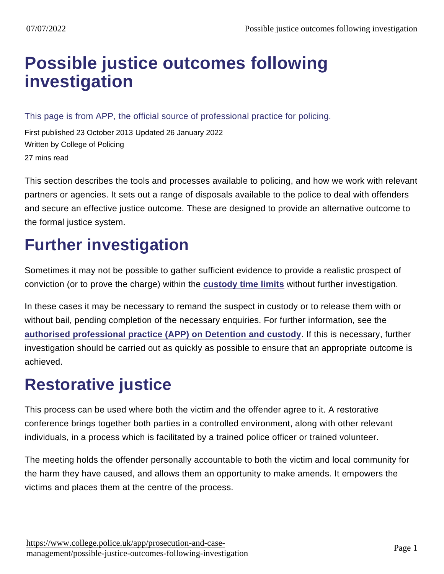# [Possible justice outcomes following](https://www.college.police.uk/app/prosecution-and-case-management/possible-justice-outcomes-following-investigation) investigation

This page is from APP, the official source of professional practice for policing.

First published 23 October 2013 Updated 26 January 2022 Written by College of Policing 27 mins read

This section describes the tools and processes available to policing, and how we work with relevant partners or agencies. It sets out a range of disposals available to the police to deal with offenders and secure an effective justice outcome. These are designed to provide an alternative outcome to the formal justice system.

# Further investigation

Sometimes it may not be possible to gather sufficient evidence to provide a realistic prospect of conviction (or to prove the charge) within the [custody time limits](http://www.cps.gov.uk/legal/a_to_c/custody_time_limits/#a01) without further investigation.

In these cases it may be necessary to remand the suspect in custody or to release them with or without bail, pending completion of the necessary enquiries. For further information, see the [authorised professional practice \(APP\) on Detention and custody](https://www.app.college.police.uk/app-content/detention-and-custody-2/?s=) . If this is necessary, further investigation should be carried out as quickly as possible to ensure that an appropriate outcome is achieved.

# Restorative justice

This process can be used where both the victim and the offender agree to it. A restorative conference brings together both parties in a controlled environment, along with other relevant individuals, in a process which is facilitated by a trained police officer or trained volunteer.

The meeting holds the offender personally accountable to both the victim and local community for the harm they have caused, and allows them an opportunity to make amends. It empowers the victims and places them at the centre of the process.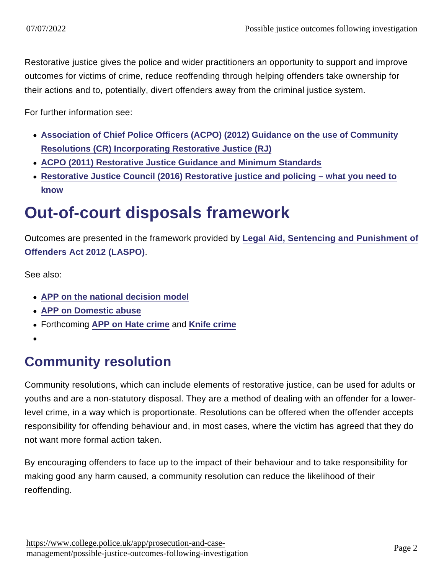Restorative justice gives the police and wider practitioners an opportunity to support and improve outcomes for victims of crime, reduce reoffending through helping offenders take ownership for their actions and to, potentially, divert offenders away from the criminal justice system.

For further information see:

- [Association of Chief Police Officers \(ACPO\) \(2012\) Guidance on the use of Community](https://library.college.police.uk/docs/appref/Community-Resolutions-Incorporating-RJ-Final-Aug-2012-2.pdf) [Resolutions \(CR\) Incorporating Restorative Justice \(RJ\)](https://library.college.police.uk/docs/appref/Community-Resolutions-Incorporating-RJ-Final-Aug-2012-2.pdf)
- [ACPO \(2011\) Restorative Justice Guidance and Minimum Standards](https://library.college.police.uk/docs/appref/ACPO-Restorative-Justice-Guidance-2011.docx)
- [Restorative Justice Council \(2016\) Restorative justice and policing what you need to](https://www.restorativejustice.org.uk/sites/default/files/resources/files/rjc-policeandrj-5digi.pdf) [know](https://www.restorativejustice.org.uk/sites/default/files/resources/files/rjc-policeandrj-5digi.pdf)

# Out-of-court disposals framework

Outcomes are presented in the framework provided by [Legal Aid, Sentencing and Punishment of](http://www.legislation.gov.uk/ukpga/2012/10/contents) [Offenders Act 2012 \(LASPO\)](http://www.legislation.gov.uk/ukpga/2012/10/contents) .

See also:

- [APP on the national decision model](https://www.app.college.police.uk/app-content/national-decision-model/?s=)
- [APP on Domestic abuse](https://www.app.college.police.uk/app-content/major-investigation-and-public-protection/domestic-abuse/)
- Forthcoming [APP on Hate crime](https://www.app.college.police.uk/app-content/major-investigation-and-public-protection/hate-crime/) and [Knife crime](https://www.app.college.police.uk/app-content/major-investigation-and-public-protection/knife-crime/)
- 

# Community resolution

Community resolutions, which can include elements of restorative justice, can be used for adults or youths and are a non-statutory disposal. They are a method of dealing with an offender for a lowerlevel crime, in a way which is proportionate. Resolutions can be offered when the offender accepts responsibility for offending behaviour and, in most cases, where the victim has agreed that they do not want more formal action taken.

By encouraging offenders to face up to the impact of their behaviour and to take responsibility for making good any harm caused, a community resolution can reduce the likelihood of their reoffending.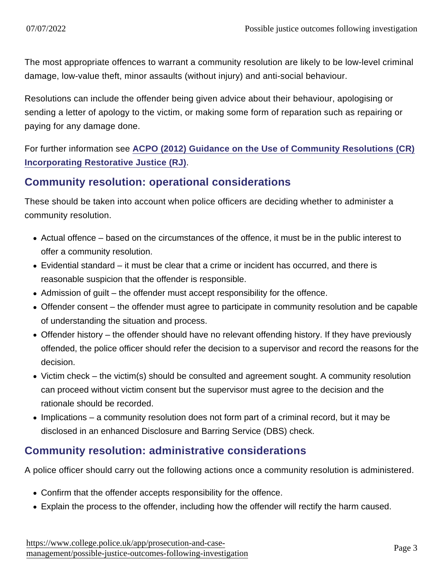The most appropriate offences to warrant a community resolution are likely to be low-level criminal damage, low-value theft, minor assaults (without injury) and anti-social behaviour.

Resolutions can include the offender being given advice about their behaviour, apologising or sending a letter of apology to the victim, or making some form of reparation such as repairing or paying for any damage done.

For further information see [ACPO \(2012\) Guidance on the Use of Community Resolutions \(CR\)](https://library.college.police.uk/docs/appref/Community-Resolutions-Incorporating-RJ-Final-Aug-2012-2.pdf) [Incorporating Restorative Justice \(RJ\)](https://library.college.police.uk/docs/appref/Community-Resolutions-Incorporating-RJ-Final-Aug-2012-2.pdf) .

#### Community resolution: operational considerations

These should be taken into account when police officers are deciding whether to administer a community resolution.

- Actual offence based on the circumstances of the offence, it must be in the public interest to offer a community resolution.
- Evidential standard it must be clear that a crime or incident has occurred, and there is reasonable suspicion that the offender is responsible.
- Admission of guilt the offender must accept responsibility for the offence.
- Offender consent the offender must agree to participate in community resolution and be capable of understanding the situation and process.
- Offender history the offender should have no relevant offending history. If they have previously offended, the police officer should refer the decision to a supervisor and record the reasons for the decision.
- Victim check the victim(s) should be consulted and agreement sought. A community resolution can proceed without victim consent but the supervisor must agree to the decision and the rationale should be recorded.
- $\bullet$  Implications a community resolution does not form part of a criminal record, but it may be disclosed in an enhanced Disclosure and Barring Service (DBS) check.

### Community resolution: administrative considerations

A police officer should carry out the following actions once a community resolution is administered.

- Confirm that the offender accepts responsibility for the offence.
- Explain the process to the offender, including how the offender will rectify the harm caused.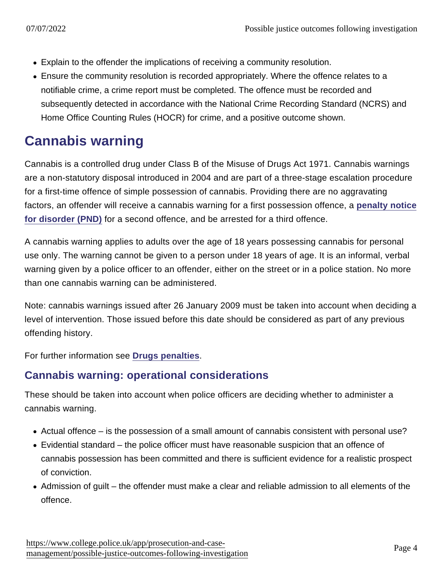- Explain to the offender the implications of receiving a community resolution.
- Ensure the community resolution is recorded appropriately. Where the offence relates to a notifiable crime, a crime report must be completed. The offence must be recorded and subsequently detected in accordance with the National Crime Recording Standard (NCRS) and Home Office Counting Rules (HOCR) for crime, and a positive outcome shown.

# Cannabis warning

Cannabis is a controlled drug under Class B of the Misuse of Drugs Act 1971. Cannabis warnings are a non-statutory disposal introduced in 2004 and are part of a three-stage escalation procedure for a first-time offence of simple possession of cannabis. Providing there are no aggravating factors, an offender will receive a cannabis warning for a first possession offence, a [penalty notice](https://www.app.college.police.uk/app-content/prosecution-and-case-management/justice-outcomes/#penalty-notice-for-disorder) [for disorder \(PND\)](https://www.app.college.police.uk/app-content/prosecution-and-case-management/justice-outcomes/#penalty-notice-for-disorder) for a second offence, and be arrested for a third offence.

A cannabis warning applies to adults over the age of 18 years possessing cannabis for personal use only. The warning cannot be given to a person under 18 years of age. It is an informal, verbal warning given by a police officer to an offender, either on the street or in a police station. No more than one cannabis warning can be administered.

Note: cannabis warnings issued after 26 January 2009 must be taken into account when deciding a level of intervention. Those issued before this date should be considered as part of any previous offending history.

For further information see [Drugs penalties](https://www.gov.uk/penalties-drug-possession-dealing) .

### Cannabis warning: operational considerations

These should be taken into account when police officers are deciding whether to administer a cannabis warning.

- Actual offence is the possession of a small amount of cannabis consistent with personal use?
- Evidential standard the police officer must have reasonable suspicion that an offence of cannabis possession has been committed and there is sufficient evidence for a realistic prospect of conviction.
- Admission of guilt the offender must make a clear and reliable admission to all elements of the offence.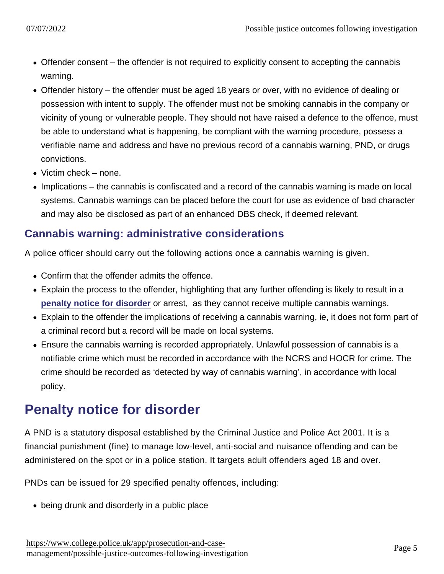- Offender consent the offender is not required to explicitly consent to accepting the cannabis warning.
- Offender history the offender must be aged 18 years or over, with no evidence of dealing or possession with intent to supply. The offender must not be smoking cannabis in the company or vicinity of young or vulnerable people. They should not have raised a defence to the offence, must be able to understand what is happening, be compliant with the warning procedure, possess a verifiable name and address and have no previous record of a cannabis warning, PND, or drugs convictions.
- Victim check none.
- Implications the cannabis is confiscated and a record of the cannabis warning is made on local systems. Cannabis warnings can be placed before the court for use as evidence of bad character and may also be disclosed as part of an enhanced DBS check, if deemed relevant.

#### Cannabis warning: administrative considerations

A police officer should carry out the following actions once a cannabis warning is given.

- Confirm that the offender admits the offence.
- Explain the process to the offender, highlighting that any further offending is likely to result in a [penalty notice for disorder](https://www.app.college.police.uk/app-content/prosecution-and-case-management/justice-outcomes/#penalty-notice-for-disorder) or arrest, as they cannot receive multiple cannabis warnings.
- Explain to the offender the implications of receiving a cannabis warning, ie, it does not form part of a criminal record but a record will be made on local systems.
- Ensure the cannabis warning is recorded appropriately. Unlawful possession of cannabis is a notifiable crime which must be recorded in accordance with the NCRS and HOCR for crime. The crime should be recorded as 'detected by way of cannabis warning', in accordance with local policy.

# Penalty notice for disorder

A PND is a statutory disposal established by the Criminal Justice and Police Act 2001. It is a financial punishment (fine) to manage low-level, anti-social and nuisance offending and can be administered on the spot or in a police station. It targets adult offenders aged 18 and over.

PNDs can be issued for 29 specified penalty offences, including:

• being drunk and disorderly in a public place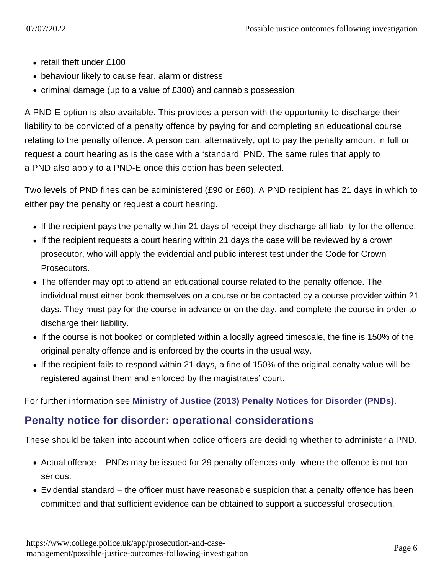- retail theft under £100
- behaviour likely to cause fear, alarm or distress
- criminal damage (up to a value of £300) and cannabis possession

A PND-E option is also available. This provides a person with the opportunity to discharge their liability to be convicted of a penalty offence by paying for and completing an educational course relating to the penalty offence. A person can, alternatively, opt to pay the penalty amount in full or request a court hearing as is the case with a 'standard' PND. The same rules that apply to a PND also apply to a PND-E once this option has been selected.

Two levels of PND fines can be administered (£90 or £60). A PND recipient has 21 days in which to either pay the penalty or request a court hearing.

- If the recipient pays the penalty within 21 days of receipt they discharge all liability for the offence.
- If the recipient requests a court hearing within 21 days the case will be reviewed by a crown prosecutor, who will apply the evidential and public interest test under the Code for Crown Prosecutors.
- The offender may opt to attend an educational course related to the penalty offence. The individual must either book themselves on a course or be contacted by a course provider within 21 days. They must pay for the course in advance or on the day, and complete the course in order to discharge their liability.
- If the course is not booked or completed within a locally agreed timescale, the fine is 150% of the original penalty offence and is enforced by the courts in the usual way.
- If the recipient fails to respond within 21 days, a fine of 150% of the original penalty value will be registered against them and enforced by the magistrates' court.

For further information see [Ministry of Justice \(2013\) Penalty Notices for Disorder \(PNDs\)](http://www.justice.gov.uk/downloads/oocd/pnd-guidance-oocd.pdf) .

#### Penalty notice for disorder: operational considerations

These should be taken into account when police officers are deciding whether to administer a PND.

- Actual offence PNDs may be issued for 29 penalty offences only, where the offence is not too serious.
- Evidential standard the officer must have reasonable suspicion that a penalty offence has been committed and that sufficient evidence can be obtained to support a successful prosecution.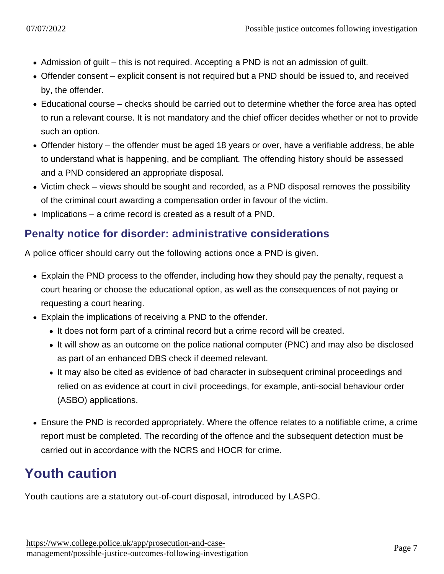- Admission of guilt this is not required. Accepting a PND is not an admission of guilt.
- Offender consent explicit consent is not required but a PND should be issued to, and received by, the offender.
- Educational course checks should be carried out to determine whether the force area has opted to run a relevant course. It is not mandatory and the chief officer decides whether or not to provide such an option.
- Offender history the offender must be aged 18 years or over, have a verifiable address, be able to understand what is happening, and be compliant. The offending history should be assessed and a PND considered an appropriate disposal.
- Victim check views should be sought and recorded, as a PND disposal removes the possibility of the criminal court awarding a compensation order in favour of the victim.
- Implications a crime record is created as a result of a PND.

#### Penalty notice for disorder: administrative considerations

A police officer should carry out the following actions once a PND is given.

- Explain the PND process to the offender, including how they should pay the penalty, request a court hearing or choose the educational option, as well as the consequences of not paying or requesting a court hearing.
- Explain the implications of receiving a PND to the offender.
	- It does not form part of a criminal record but a crime record will be created.
	- It will show as an outcome on the police national computer (PNC) and may also be disclosed as part of an enhanced DBS check if deemed relevant.
	- It may also be cited as evidence of bad character in subsequent criminal proceedings and relied on as evidence at court in civil proceedings, for example, anti-social behaviour order (ASBO) applications.
- Ensure the PND is recorded appropriately. Where the offence relates to a notifiable crime, a crime report must be completed. The recording of the offence and the subsequent detection must be carried out in accordance with the NCRS and HOCR for crime.

## Youth caution

Youth cautions are a statutory out-of-court disposal, introduced by LASPO.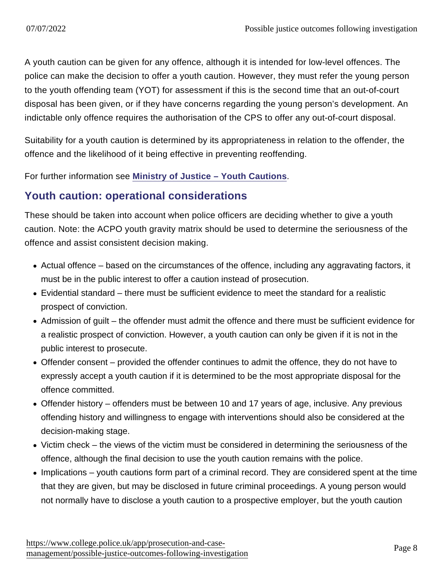A youth caution can be given for any offence, although it is intended for low-level offences. The police can make the decision to offer a youth caution. However, they must refer the young person to the youth offending team (YOT) for assessment if this is the second time that an out-of-court disposal has been given, or if they have concerns regarding the young person's development. An indictable only offence requires the authorisation of the CPS to offer any out-of-court disposal.

Suitability for a youth caution is determined by its appropriateness in relation to the offender, the offence and the likelihood of it being effective in preventing reoffending.

For further information see [Ministry of Justice – Youth Cautions](http://www.justice.gov.uk/downloads/oocd/youth-cautions-guidance-police-yots-oocd.pdf) .

#### Youth caution: operational considerations

These should be taken into account when police officers are deciding whether to give a youth caution. Note: the ACPO youth gravity matrix should be used to determine the seriousness of the offence and assist consistent decision making.

- Actual offence based on the circumstances of the offence, including any aggravating factors, it must be in the public interest to offer a caution instead of prosecution.
- Evidential standard there must be sufficient evidence to meet the standard for a realistic prospect of conviction.
- Admission of guilt the offender must admit the offence and there must be sufficient evidence for a realistic prospect of conviction. However, a youth caution can only be given if it is not in the public interest to prosecute.
- Offender consent provided the offender continues to admit the offence, they do not have to expressly accept a youth caution if it is determined to be the most appropriate disposal for the offence committed.
- Offender history offenders must be between 10 and 17 years of age, inclusive. Any previous offending history and willingness to engage with interventions should also be considered at the decision-making stage.
- Victim check the views of the victim must be considered in determining the seriousness of the offence, although the final decision to use the youth caution remains with the police.
- Implications youth cautions form part of a criminal record. They are considered spent at the time that they are given, but may be disclosed in future criminal proceedings. A young person would not normally have to disclose a youth caution to a prospective employer, but the youth caution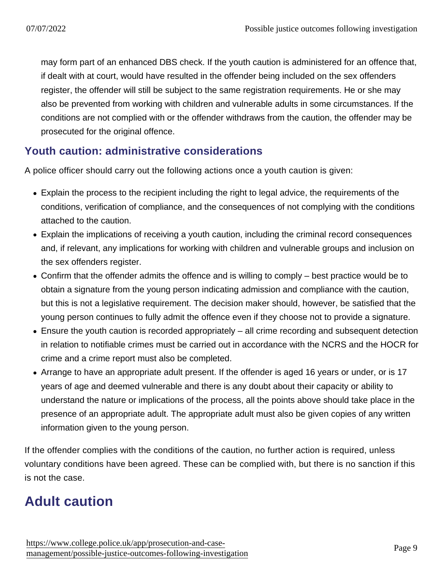may form part of an enhanced DBS check. If the youth caution is administered for an offence that, if dealt with at court, would have resulted in the offender being included on the sex offenders register, the offender will still be subject to the same registration requirements. He or she may also be prevented from working with children and vulnerable adults in some circumstances. If the conditions are not complied with or the offender withdraws from the caution, the offender may be prosecuted for the original offence.

### Youth caution: administrative considerations

A police officer should carry out the following actions once a youth caution is given:

- Explain the process to the recipient including the right to legal advice, the requirements of the conditions, verification of compliance, and the consequences of not complying with the conditions attached to the caution.
- Explain the implications of receiving a youth caution, including the criminal record consequences and, if relevant, any implications for working with children and vulnerable groups and inclusion on the sex offenders register.
- Confirm that the offender admits the offence and is willing to comply best practice would be to obtain a signature from the young person indicating admission and compliance with the caution, but this is not a legislative requirement. The decision maker should, however, be satisfied that the young person continues to fully admit the offence even if they choose not to provide a signature.
- Ensure the youth caution is recorded appropriately all crime recording and subsequent detection in relation to notifiable crimes must be carried out in accordance with the NCRS and the HOCR for crime and a crime report must also be completed.
- Arrange to have an appropriate adult present. If the offender is aged 16 years or under, or is 17 years of age and deemed vulnerable and there is any doubt about their capacity or ability to understand the nature or implications of the process, all the points above should take place in the presence of an appropriate adult. The appropriate adult must also be given copies of any written information given to the young person.

If the offender complies with the conditions of the caution, no further action is required, unless voluntary conditions have been agreed. These can be complied with, but there is no sanction if this is not the case.

# Adult caution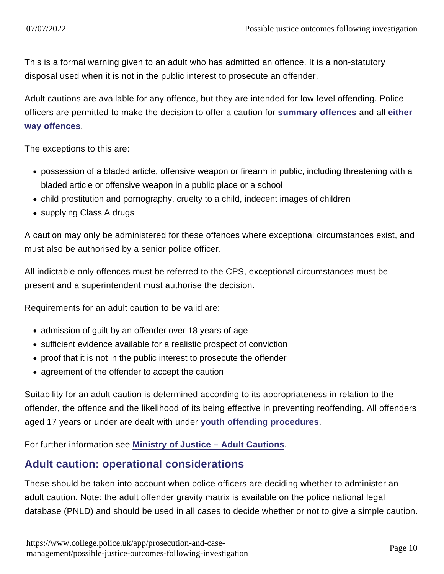This is a formal warning given to an adult who has admitted an offence. It is a non-statutory disposal used when it is not in the public interest to prosecute an offender.

Adult cautions are available for any offence, but they are intended for low-level offending. Police officers are permitted to make the decision to offer a caution for [summary offences](https://www.app.college.police.uk/app-content/prosecution-and-case-management/hearing-and-trial-management/#summary-offences) and all [either](https://www.app.college.police.uk/app-content/prosecution-and-case-management/hearing-and-trial-management/#either-way-offences) [way offences](https://www.app.college.police.uk/app-content/prosecution-and-case-management/hearing-and-trial-management/#either-way-offences) .

The exceptions to this are:

- possession of a bladed article, offensive weapon or firearm in public, including threatening with a bladed article or offensive weapon in a public place or a school
- child prostitution and pornography, cruelty to a child, indecent images of children
- supplying Class A drugs

A caution may only be administered for these offences where exceptional circumstances exist, and must also be authorised by a senior police officer.

All indictable only offences must be referred to the CPS, exceptional circumstances must be present and a superintendent must authorise the decision.

Requirements for an adult caution to be valid are:

- admission of guilt by an offender over 18 years of age
- sufficient evidence available for a realistic prospect of conviction
- proof that it is not in the public interest to prosecute the offender
- agreement of the offender to accept the caution

Suitability for an adult caution is determined according to its appropriateness in relation to the offender, the offence and the likelihood of its being effective in preventing reoffending. All offenders aged 17 years or under are dealt with under [youth offending procedures](http://www.cps.gov.uk/legal/v_to_z/youth_offenders/) .

For further information see [Ministry of Justice – Adult Cautions](https://assets.publishing.service.gov.uk/government/uploads/system/uploads/attachment_data/file/708595/cautions-guidance-2015.pdf) .

#### Adult caution: operational considerations

These should be taken into account when police officers are deciding whether to administer an adult caution. Note: the adult offender gravity matrix is available on the police national legal database (PNLD) and should be used in all cases to decide whether or not to give a simple caution.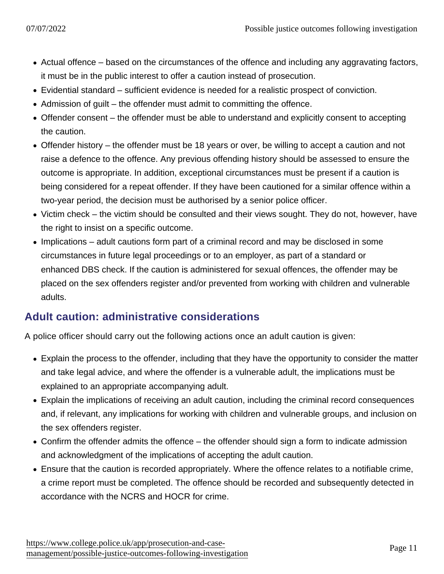- Actual offence based on the circumstances of the offence and including any aggravating factors, it must be in the public interest to offer a caution instead of prosecution.
- Evidential standard sufficient evidence is needed for a realistic prospect of conviction.
- Admission of guilt the offender must admit to committing the offence.
- Offender consent the offender must be able to understand and explicitly consent to accepting the caution.
- Offender history the offender must be 18 years or over, be willing to accept a caution and not raise a defence to the offence. Any previous offending history should be assessed to ensure the outcome is appropriate. In addition, exceptional circumstances must be present if a caution is being considered for a repeat offender. If they have been cautioned for a similar offence within a two-year period, the decision must be authorised by a senior police officer.
- Victim check the victim should be consulted and their views sought. They do not, however, have the right to insist on a specific outcome.
- Implications adult cautions form part of a criminal record and may be disclosed in some circumstances in future legal proceedings or to an employer, as part of a standard or enhanced DBS check. If the caution is administered for sexual offences, the offender may be placed on the sex offenders register and/or prevented from working with children and vulnerable adults.

### Adult caution: administrative considerations

A police officer should carry out the following actions once an adult caution is given:

- Explain the process to the offender, including that they have the opportunity to consider the matter and take legal advice, and where the offender is a vulnerable adult, the implications must be explained to an appropriate accompanying adult.
- Explain the implications of receiving an adult caution, including the criminal record consequences and, if relevant, any implications for working with children and vulnerable groups, and inclusion on the sex offenders register.
- Confirm the offender admits the offence the offender should sign a form to indicate admission and acknowledgment of the implications of accepting the adult caution.
- Ensure that the caution is recorded appropriately. Where the offence relates to a notifiable crime, a crime report must be completed. The offence should be recorded and subsequently detected in accordance with the NCRS and HOCR for crime.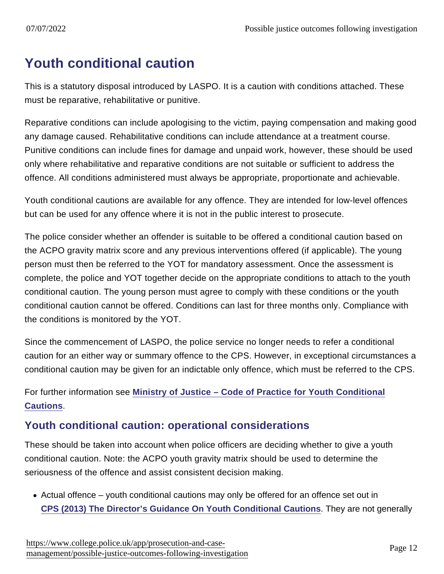### Youth conditional caution

This is a statutory disposal introduced by LASPO. It is a caution with conditions attached. These must be reparative, rehabilitative or punitive.

Reparative conditions can include apologising to the victim, paying compensation and making good any damage caused. Rehabilitative conditions can include attendance at a treatment course. Punitive conditions can include fines for damage and unpaid work, however, these should be used only where rehabilitative and reparative conditions are not suitable or sufficient to address the offence. All conditions administered must always be appropriate, proportionate and achievable.

Youth conditional cautions are available for any offence. They are intended for low-level offences but can be used for any offence where it is not in the public interest to prosecute.

The police consider whether an offender is suitable to be offered a conditional caution based on the ACPO gravity matrix score and any previous interventions offered (if applicable). The young person must then be referred to the YOT for mandatory assessment. Once the assessment is complete, the police and YOT together decide on the appropriate conditions to attach to the youth conditional caution. The young person must agree to comply with these conditions or the youth conditional caution cannot be offered. Conditions can last for three months only. Compliance with the conditions is monitored by the YOT.

Since the commencement of LASPO, the police service no longer needs to refer a conditional caution for an either way or summary offence to the CPS. However, in exceptional circumstances a conditional caution may be given for an indictable only offence, which must be referred to the CPS.

For further information see [Ministry of Justice – Code of Practice for Youth Conditional](http://www.justice.gov.uk/downloads/oocd/code-practice-youth-conditional-cautions-oocd.pdf) [Cautions](http://www.justice.gov.uk/downloads/oocd/code-practice-youth-conditional-cautions-oocd.pdf) .

#### Youth conditional caution: operational considerations

These should be taken into account when police officers are deciding whether to give a youth conditional caution. Note: the ACPO youth gravity matrix should be used to determine the seriousness of the offence and assist consistent decision making.

Actual offence – youth conditional cautions may only be offered for an offence set out in [CPS \(2013\) The Director's Guidance On Youth Conditional Cautions](http://www.cps.gov.uk/publications/directors_guidance/youth_conditional_cautions.html) . They are not generally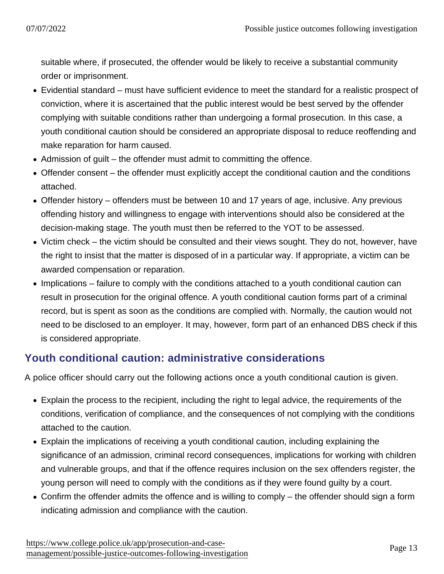suitable where, if prosecuted, the offender would be likely to receive a substantial community order or imprisonment.

- Evidential standard must have sufficient evidence to meet the standard for a realistic prospect of conviction, where it is ascertained that the public interest would be best served by the offender complying with suitable conditions rather than undergoing a formal prosecution. In this case, a youth conditional caution should be considered an appropriate disposal to reduce reoffending and make reparation for harm caused.
- Admission of guilt the offender must admit to committing the offence.
- Offender consent the offender must explicitly accept the conditional caution and the conditions attached.
- Offender history offenders must be between 10 and 17 years of age, inclusive. Any previous offending history and willingness to engage with interventions should also be considered at the decision-making stage. The youth must then be referred to the YOT to be assessed.
- Victim check the victim should be consulted and their views sought. They do not, however, have the right to insist that the matter is disposed of in a particular way. If appropriate, a victim can be awarded compensation or reparation.
- Implications failure to comply with the conditions attached to a youth conditional caution can result in prosecution for the original offence. A youth conditional caution forms part of a criminal record, but is spent as soon as the conditions are complied with. Normally, the caution would not need to be disclosed to an employer. It may, however, form part of an enhanced DBS check if this is considered appropriate.

### Youth conditional caution: administrative considerations

A police officer should carry out the following actions once a youth conditional caution is given.

- Explain the process to the recipient, including the right to legal advice, the requirements of the conditions, verification of compliance, and the consequences of not complying with the conditions attached to the caution.
- Explain the implications of receiving a youth conditional caution, including explaining the significance of an admission, criminal record consequences, implications for working with children and vulnerable groups, and that if the offence requires inclusion on the sex offenders register, the young person will need to comply with the conditions as if they were found guilty by a court.
- Confirm the offender admits the offence and is willing to comply the offender should sign a form indicating admission and compliance with the caution.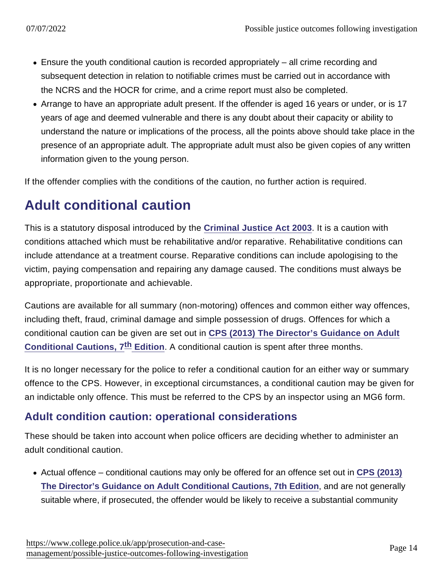- Ensure the youth conditional caution is recorded appropriately all crime recording and subsequent detection in relation to notifiable crimes must be carried out in accordance with the NCRS and the HOCR for crime, and a crime report must also be completed.
- Arrange to have an appropriate adult present. If the offender is aged 16 years or under, or is 17 years of age and deemed vulnerable and there is any doubt about their capacity or ability to understand the nature or implications of the process, all the points above should take place in the presence of an appropriate adult. The appropriate adult must also be given copies of any written information given to the young person.

If the offender complies with the conditions of the caution, no further action is required.

## Adult conditional caution

This is a statutory disposal introduced by the [Criminal Justice Act 2003](http://www.legislation.gov.uk/ukpga/2003/44/contents) . It is a caution with conditions attached which must be rehabilitative and/or reparative. Rehabilitative conditions can include attendance at a treatment course. Reparative conditions can include apologising to the victim, paying compensation and repairing any damage caused. The conditions must always be appropriate, proportionate and achievable.

Cautions are available for all summary (non-motoring) offences and common either way offences, including theft, fraud, criminal damage and simple possession of drugs. Offences for which a conditional caution can be given are set out in [CPS \(2013\) The Director's Guidance on Adult](http://www.cps.gov.uk/publications/directors_guidance/adult_conditional_cautions.html) Conditional Cautions,  $7 \text{ th}$  Edition . A conditional caution is spent after three months.

It is no longer necessary for the police to refer a conditional caution for an either way or summary offence to the CPS. However, in exceptional circumstances, a conditional caution may be given for an indictable only offence. This must be referred to the CPS by an inspector using an MG6 form.

#### Adult condition caution: operational considerations

These should be taken into account when police officers are deciding whether to administer an adult conditional caution.

• Actual offence – conditional cautions may only be offered for an offence set out in [CPS \(2013\)](http://www.cps.gov.uk/publications/directors_guidance/adult_conditional_cautions.html) [The Director's Guidance on Adult Conditional Cautions, 7th Edition](http://www.cps.gov.uk/publications/directors_guidance/adult_conditional_cautions.html) , and are not generally suitable where, if prosecuted, the offender would be likely to receive a substantial community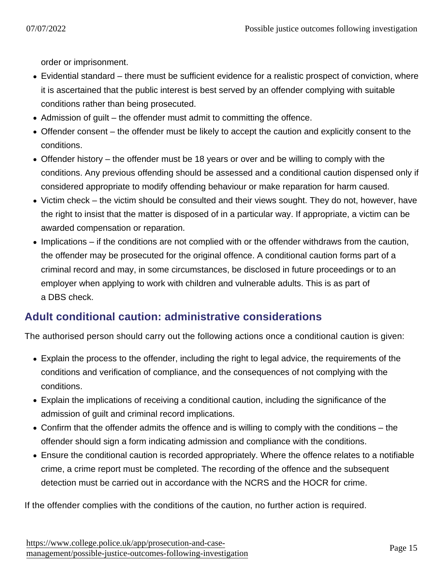order or imprisonment.

- Evidential standard there must be sufficient evidence for a realistic prospect of conviction, where it is ascertained that the public interest is best served by an offender complying with suitable conditions rather than being prosecuted.
- Admission of guilt the offender must admit to committing the offence.
- Offender consent the offender must be likely to accept the caution and explicitly consent to the conditions.
- Offender history the offender must be 18 years or over and be willing to comply with the conditions. Any previous offending should be assessed and a conditional caution dispensed only if considered appropriate to modify offending behaviour or make reparation for harm caused.
- Victim check the victim should be consulted and their views sought. They do not, however, have the right to insist that the matter is disposed of in a particular way. If appropriate, a victim can be awarded compensation or reparation.
- Implications if the conditions are not complied with or the offender withdraws from the caution, the offender may be prosecuted for the original offence. A conditional caution forms part of a criminal record and may, in some circumstances, be disclosed in future proceedings or to an employer when applying to work with children and vulnerable adults. This is as part of a DBS check.

### Adult conditional caution: administrative considerations

The authorised person should carry out the following actions once a conditional caution is given:

- Explain the process to the offender, including the right to legal advice, the requirements of the conditions and verification of compliance, and the consequences of not complying with the conditions.
- Explain the implications of receiving a conditional caution, including the significance of the admission of guilt and criminal record implications.
- Confirm that the offender admits the offence and is willing to comply with the conditions the offender should sign a form indicating admission and compliance with the conditions.
- Ensure the conditional caution is recorded appropriately. Where the offence relates to a notifiable crime, a crime report must be completed. The recording of the offence and the subsequent detection must be carried out in accordance with the NCRS and the HOCR for crime.

If the offender complies with the conditions of the caution, no further action is required.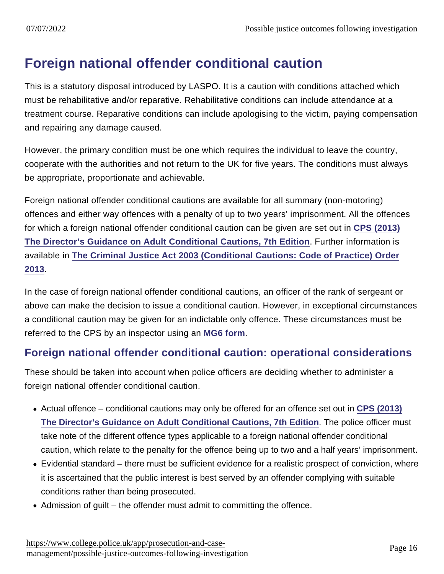## Foreign national offender conditional caution

This is a statutory disposal introduced by LASPO. It is a caution with conditions attached which must be rehabilitative and/or reparative. Rehabilitative conditions can include attendance at a treatment course. Reparative conditions can include apologising to the victim, paying compensation and repairing any damage caused.

However, the primary condition must be one which requires the individual to leave the country, cooperate with the authorities and not return to the UK for five years. The conditions must always be appropriate, proportionate and achievable.

Foreign national offender conditional cautions are available for all summary (non-motoring) offences and either way offences with a penalty of up to two years' imprisonment. All the offences for which a foreign national offender conditional caution can be given are set out in [CPS \(2013\)](http://www.cps.gov.uk/publications/directors_guidance/adult_conditional_cautions.html) [The Director's Guidance on Adult Conditional Cautions, 7th Edition](http://www.cps.gov.uk/publications/directors_guidance/adult_conditional_cautions.html) . Further information is available in [The Criminal Justice Act 2003 \(Conditional Cautions: Code of Practice\) Order](http://www.legislation.gov.uk/uksi/2013/801/introduction/made) [2013](http://www.legislation.gov.uk/uksi/2013/801/introduction/made).

In the case of foreign national offender conditional cautions, an officer of the rank of sergeant or above can make the decision to issue a conditional caution. However, in exceptional circumstances a conditional caution may be given for an indictable only offence. These circumstances must be referred to the CPS by an inspector using an [MG6 form](https://library.college.police.uk/docs/appref/MoG-final-2011-july.pdf#page=83) .

### Foreign national offender conditional caution: operational considerations

These should be taken into account when police officers are deciding whether to administer a foreign national offender conditional caution.

- Actual offence conditional cautions may only be offered for an offence set out in [CPS \(2013\)](http://www.cps.gov.uk/publications/directors_guidance/adult_conditional_cautions.html) [The Director's Guidance on Adult Conditional Cautions, 7th Edition](http://www.cps.gov.uk/publications/directors_guidance/adult_conditional_cautions.html) . The police officer must take note of the different offence types applicable to a foreign national offender conditional caution, which relate to the penalty for the offence being up to two and a half years' imprisonment.
- Evidential standard there must be sufficient evidence for a realistic prospect of conviction, where it is ascertained that the public interest is best served by an offender complying with suitable conditions rather than being prosecuted.
- Admission of guilt the offender must admit to committing the offence.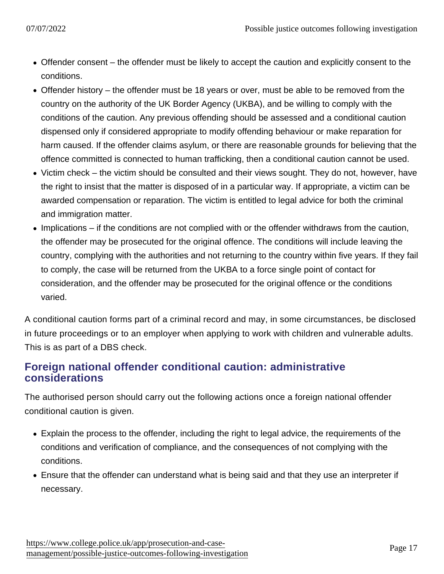- Offender consent the offender must be likely to accept the caution and explicitly consent to the conditions.
- Offender history the offender must be 18 years or over, must be able to be removed from the country on the authority of the UK Border Agency (UKBA), and be willing to comply with the conditions of the caution. Any previous offending should be assessed and a conditional caution dispensed only if considered appropriate to modify offending behaviour or make reparation for harm caused. If the offender claims asylum, or there are reasonable grounds for believing that the offence committed is connected to human trafficking, then a conditional caution cannot be used.
- Victim check the victim should be consulted and their views sought. They do not, however, have the right to insist that the matter is disposed of in a particular way. If appropriate, a victim can be awarded compensation or reparation. The victim is entitled to legal advice for both the criminal and immigration matter.
- Implications if the conditions are not complied with or the offender withdraws from the caution, the offender may be prosecuted for the original offence. The conditions will include leaving the country, complying with the authorities and not returning to the country within five years. If they fail to comply, the case will be returned from the UKBA to a force single point of contact for consideration, and the offender may be prosecuted for the original offence or the conditions varied.

A conditional caution forms part of a criminal record and may, in some circumstances, be disclosed in future proceedings or to an employer when applying to work with children and vulnerable adults. This is as part of a DBS check.

#### Foreign national offender conditional caution: administrative considerations

The authorised person should carry out the following actions once a foreign national offender conditional caution is given.

- Explain the process to the offender, including the right to legal advice, the requirements of the conditions and verification of compliance, and the consequences of not complying with the conditions.
- Ensure that the offender can understand what is being said and that they use an interpreter if necessary.